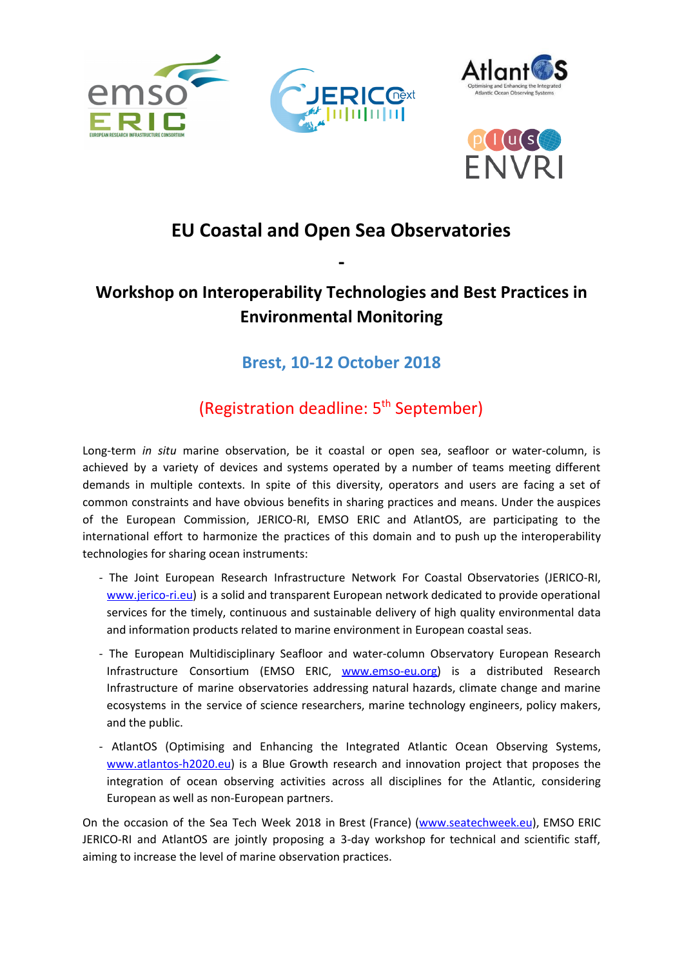





# **EU Coastal and Open Sea Observatories**

**-**

## **Workshop on Interoperability Technologies and Best Practices in Environmental Monitoring**

### **Brest, 10-12 October 2018**

## (Registration deadline: 5<sup>th</sup> September)

Long-term *in situ* marine observation, be it coastal or open sea, seafloor or water-column, is achieved by a variety of devices and systems operated by a number of teams meeting different demands in multiple contexts. In spite of this diversity, operators and users are facing a set of common constraints and have obvious benefits in sharing practices and means. Under the auspices of the European Commission, JERICO-RI, EMSO ERIC and AtlantOS, are participating to the international effort to harmonize the practices of this domain and to push up the interoperability technologies for sharing ocean instruments:

- The Joint European Research Infrastructure Network For Coastal Observatories (JERICO-RI, [www.jerico-ri.eu](http://www.jerico-ri.eu/)) is a solid and transparent European network dedicated to provide operational services for the timely, continuous and sustainable delivery of high quality environmental data and information products related to marine environment in European coastal seas.
- The European Multidisciplinary Seafloor and water-column Observatory European Research Infrastructure Consortium (EMSO ERIC, [www.emso-eu.org](http://www.emso-eu.org/)) is a distributed Research Infrastructure of marine observatories addressing natural hazards, climate change and marine ecosystems in the service of science researchers, marine technology engineers, policy makers, and the public.
- AtlantOS (Optimising and Enhancing the Integrated Atlantic Ocean Observing Systems, [www.atlantos-h2020.eu](https://www.atlantos-h2020.eu/)) is a Blue Growth research and innovation project that proposes the integration of ocean observing activities across all disciplines for the Atlantic, considering European as well as non-European partners.

On the occasion of the Sea Tech Week 2018 in Brest (France) ([www.seatechweek.eu](http://www.seatechweek.eu/)), EMSO ERIC JERICO-RI and AtlantOS are jointly proposing a 3-day workshop for technical and scientific staff, aiming to increase the level of marine observation practices.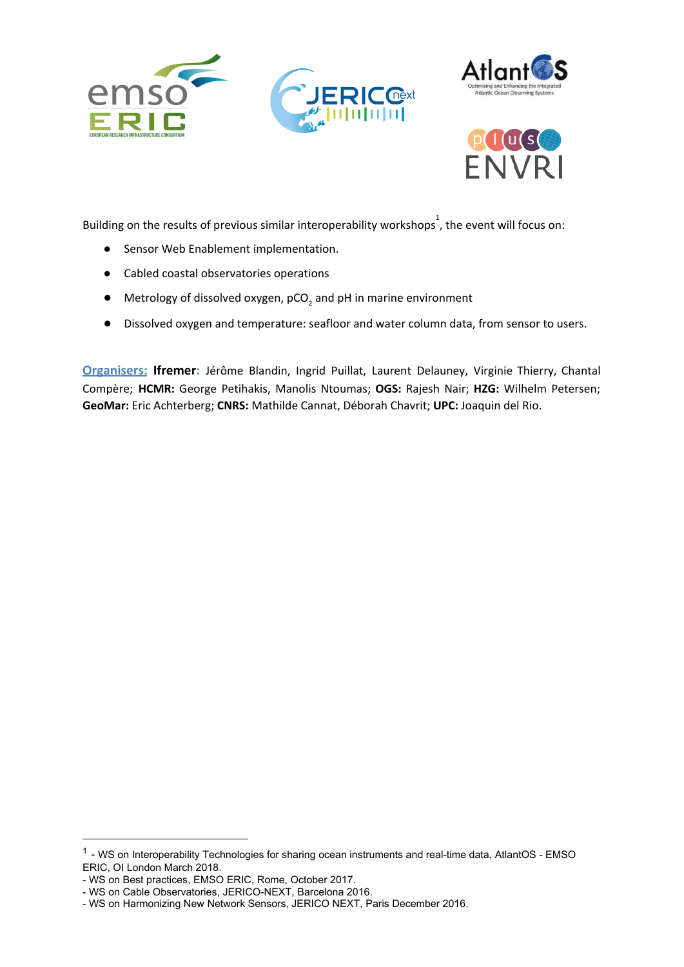





Building on the results of previous similar interoperability workshops<sup>1</sup>, the event will focus on:

- Sensor Web Enablement implementation.
- Cabled coastal observatories operations
- $\bullet$  Metrology of dissolved oxygen, pCO<sub>2</sub> and pH in marine environment
- Dissolved oxygen and temperature: seafloor and water column data, from sensor to users.

**Organisers: Ifremer:** Jérôme Blandin, Ingrid Puillat, Laurent Delauney, Virginie Thierry, Chantal Compère; **HCMR:** George Petihakis, Manolis Ntoumas; **OGS:** Rajesh Nair; **HZG:** Wilhelm Petersen; **GeoMar:** Eric Achterberg; **CNRS:** Mathilde Cannat, Déborah Chavrit; **UPC:** Joaquin del Rio.

<sup>&</sup>lt;sup>1</sup> - WS on Interoperability Technologies for sharing ocean instruments and real-time data, AtlantOS - EMSO ERIC, OI London March 2018.

<sup>-</sup> WS on Best practices, EMSO ERIC, Rome, October 2017.

<sup>-</sup> WS on Cable Observatories, JERICO-NEXT, Barcelona 2016.

<sup>-</sup> WS on Harmonizing New Network Sensors, JERICO NEXT, Paris December 2016.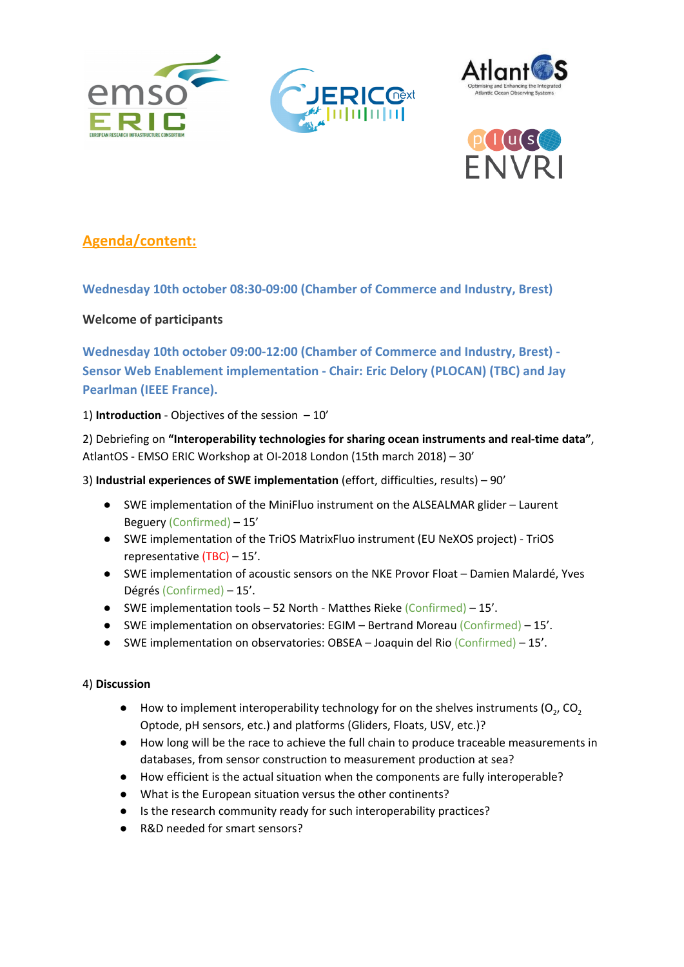





### **Agenda/content:**

**Wednesday 10th october 08:30-09:00 (Chamber of Commerce and Industry, Brest)**

#### **Welcome of participants**

**Wednesday 10th october 09:00-12:00 (Chamber of Commerce and Industry, Brest) - Sensor Web Enablement implementation - Chair: Eric Delory (PLOCAN) (TBC) and Jay Pearlman (IEEE France).**

1) **Introduction** - Objectives of the session – 10'

2) Debriefing on **"Interoperability technologies for sharing ocean instruments and real-time data"**, AtlantOS - EMSO ERIC Workshop at OI-2018 London (15th march 2018) – 30'

#### 3) **Industrial experiences of SWE implementation** (effort, difficulties, results) – 90'

- SWE implementation of the MiniFluo instrument on the ALSEALMAR glider Laurent Beguery (Confirmed) – 15'
- SWE implementation of the TriOS MatrixFluo instrument (EU NeXOS project) TriOS representative (TBC) – 15'.
- SWE implementation of acoustic sensors on the NKE Provor Float Damien Malardé, Yves Dégrés (Confirmed) – 15'.
- SWE implementation tools 52 North Matthes Rieke (Confirmed) 15'.
- SWE implementation on observatories: EGIM Bertrand Moreau (Confirmed) 15'.
- SWE implementation on observatories: OBSEA Joaquin del Rio (Confirmed) 15'.

#### 4) **Discussion**

- $\bullet$  How to implement interoperability technology for on the shelves instruments (O<sub>2</sub>, CO<sub>2</sub> Optode, pH sensors, etc.) and platforms (Gliders, Floats, USV, etc.)?
- How long will be the race to achieve the full chain to produce traceable measurements in databases, from sensor construction to measurement production at sea?
- How efficient is the actual situation when the components are fully interoperable?
- What is the European situation versus the other continents?
- Is the research community ready for such interoperability practices?
- R&D needed for smart sensors?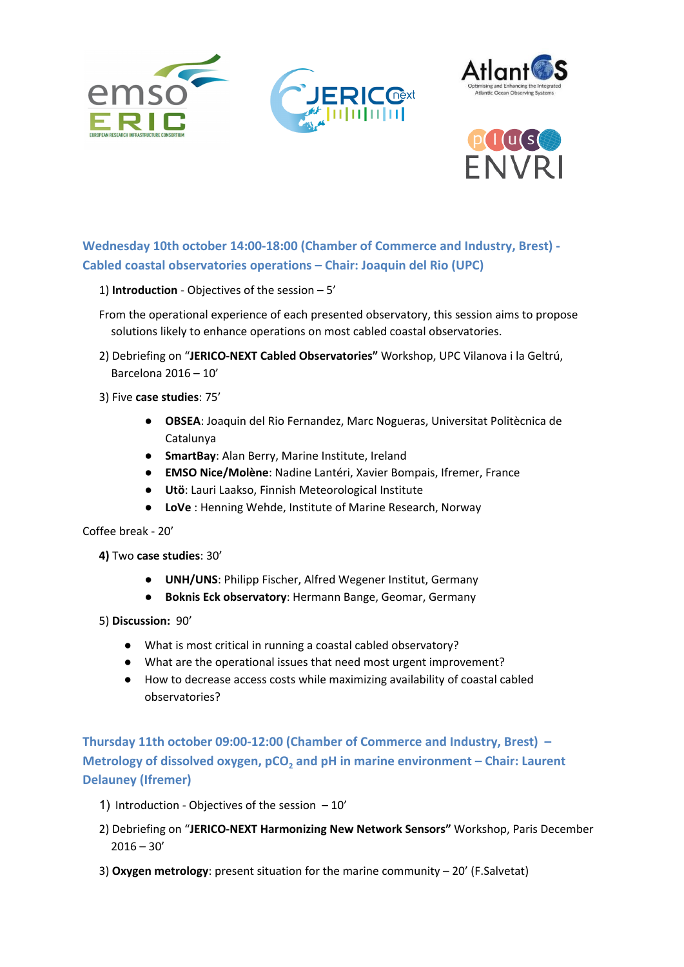





**Wednesday 10th october 14:00-18:00 (Chamber of Commerce and Industry, Brest) - Cabled coastal observatories operations – Chair: Joaquin del Rio (UPC)**

- 1) **Introduction** Objectives of the session 5'
- From the operational experience of each presented observatory, this session aims to propose solutions likely to enhance operations on most cabled coastal observatories.
- 2) Debriefing on "**JERICO-NEXT Cabled Observatories"** Workshop, UPC Vilanova i la Geltrú, Barcelona 2016 – 10'
- 3) Five **case studies**: 75'
	- **OBSEA**: Joaquin del Rio Fernandez, Marc Nogueras, Universitat Politècnica de Catalunya
	- **SmartBay**: Alan Berry, Marine Institute, Ireland
	- **EMSO Nice/Molène**: Nadine Lantéri, Xavier Bompais, Ifremer, France
	- **Utö**: Lauri Laakso, Finnish Meteorological Institute
	- **LoVe** : Henning Wehde, Institute of Marine Research, Norway

Coffee break - 20'

**4)** Two **case studies**: 30'

- **UNH/UNS**: Philipp Fischer, Alfred Wegener Institut, Germany
- **Boknis Eck observatory**: Hermann Bange, Geomar, Germany

5) **Discussion:** 90'

- What is most critical in running a coastal cabled observatory?
- What are the operational issues that need most urgent improvement?
- How to decrease access costs while maximizing availability of coastal cabled observatories?

**Thursday 11th october 09:00-12:00 (Chamber of Commerce and Industry, Brest) – Metrology of dissolved oxygen, pCO<sup>2</sup> and pH in marine environment – Chair: Laurent Delauney (Ifremer)**

- 1) Introduction Objectives of the session  $-10'$
- 2) Debriefing on "**JERICO-NEXT Harmonizing New Network Sensors"** Workshop, Paris December  $2016 - 30'$
- 3) **Oxygen metrology**: present situation for the marine community 20' (F.Salvetat)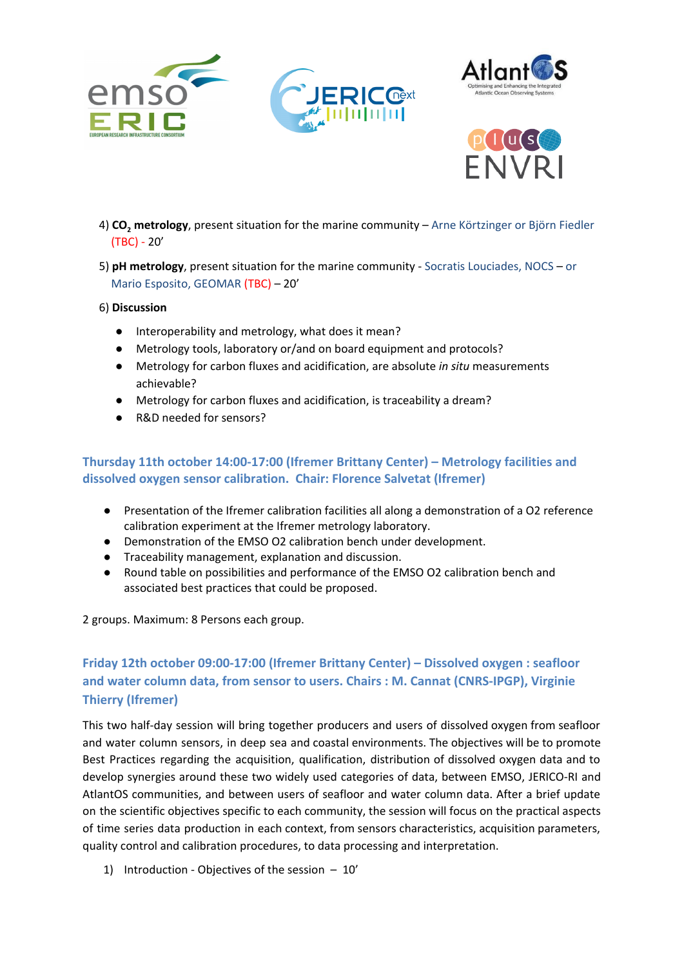





- 4) **CO<sup>2</sup> metrology**, present situation for the marine community Arne Körtzinger or Björn Fiedler (TBC) - 20'
- 5) **pH metrology**, present situation for the marine community Socratis Louciades, NOCS or Mario Esposito, GEOMAR (TBC) – 20'

#### 6) **Discussion**

- Interoperability and metrology, what does it mean?
- Metrology tools, laboratory or/and on board equipment and protocols?
- Metrology for carbon fluxes and acidification, are absolute *in situ* measurements achievable?
- Metrology for carbon fluxes and acidification, is traceability a dream?
- R&D needed for sensors?

#### **Thursday 11th october 14:00-17:00 (Ifremer Brittany Center) – Metrology facilities and dissolved oxygen sensor calibration. Chair: Florence Salvetat (Ifremer)**

- Presentation of the Ifremer calibration facilities all along a demonstration of a O2 reference calibration experiment at the Ifremer metrology laboratory.
- Demonstration of the EMSO O2 calibration bench under development.
- Traceability management, explanation and discussion.
- Round table on possibilities and performance of the EMSO O2 calibration bench and associated best practices that could be proposed.

2 groups. Maximum: 8 Persons each group.

### **Friday 12th october 09:00-17:00 (Ifremer Brittany Center) – Dissolved oxygen : seafloor and water column data, from sensor to users. Chairs : M. Cannat (CNRS-IPGP), Virginie Thierry (Ifremer)**

This two half-day session will bring together producers and users of dissolved oxygen from seafloor and water column sensors, in deep sea and coastal environments. The objectives will be to promote Best Practices regarding the acquisition, qualification, distribution of dissolved oxygen data and to develop synergies around these two widely used categories of data, between EMSO, JERICO-RI and AtlantOS communities, and between users of seafloor and water column data. After a brief update on the scientific objectives specific to each community, the session will focus on the practical aspects of time series data production in each context, from sensors characteristics, acquisition parameters, quality control and calibration procedures, to data processing and interpretation.

1) Introduction - Objectives of the session – 10'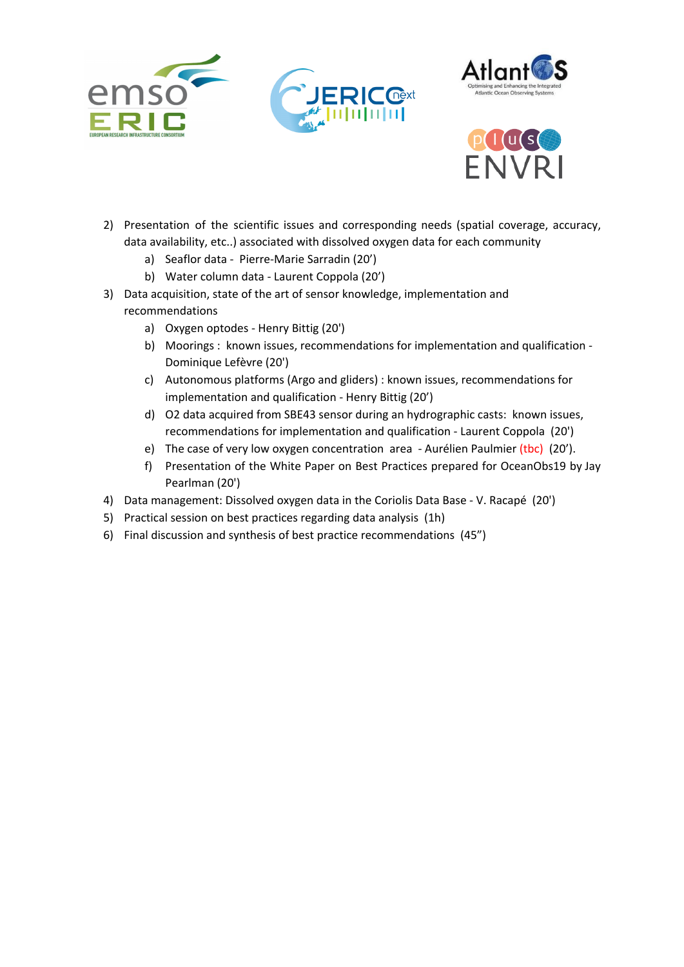





- 2) Presentation of the scientific issues and corresponding needs (spatial coverage, accuracy, data availability, etc..) associated with dissolved oxygen data for each community
	- a) Seaflor data Pierre-Marie Sarradin (20')
	- b) Water column data Laurent Coppola (20')
- 3) Data acquisition, state of the art of sensor knowledge, implementation and recommendations
	- a) Oxygen optodes Henry Bittig (20')
	- b) Moorings : known issues, recommendations for implementation and qualification Dominique Lefèvre (20')
	- c) Autonomous platforms (Argo and gliders) : known issues, recommendations for implementation and qualification - Henry Bittig (20')
	- d) O2 data acquired from SBE43 sensor during an hydrographic casts: known issues, recommendations for implementation and qualification - Laurent Coppola (20')
	- e) The case of very low oxygen concentration area Aurélien Paulmier (tbc) (20').
	- f) Presentation of the White Paper on Best Practices prepared for OceanObs19 by Jay Pearlman (20')
- 4) Data management: Dissolved oxygen data in the Coriolis Data Base V. Racapé (20')
- 5) Practical session on best practices regarding data analysis (1h)
- 6) Final discussion and synthesis of best practice recommendations (45")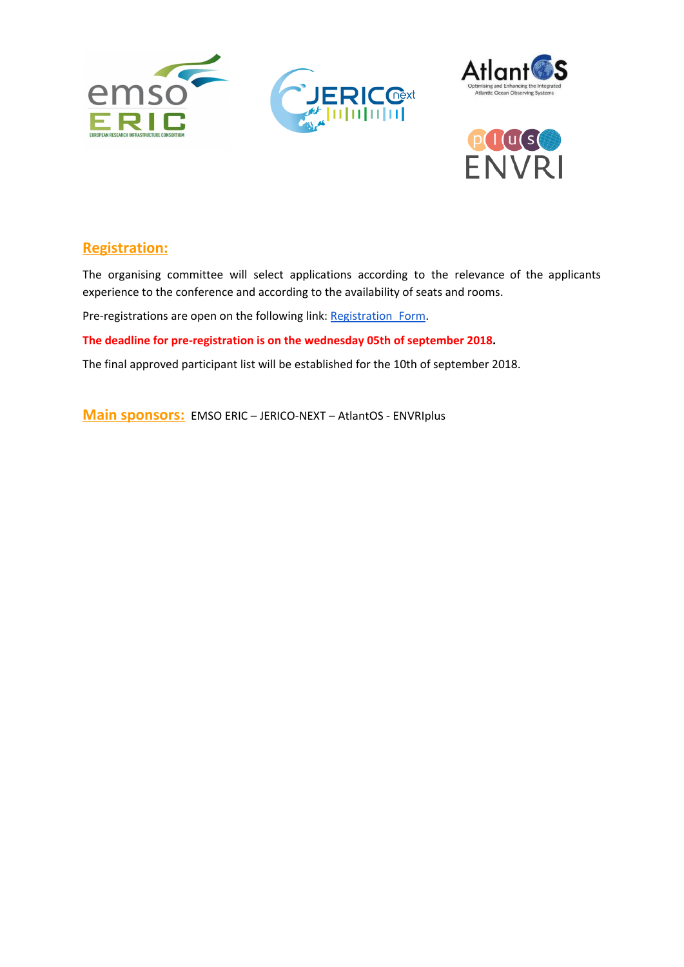





### **Registration:**

The organising committee will select applications according to the relevance of the applicants experience to the conference and according to the availability of seats and rooms.

Pre-registrations are open on the following link: [Registration\\_Form](https://forms.ifremer.fr/siim/13-2/).

**The deadline for pre-registration is on the wednesday 05th of september 2018.**

The final approved participant list will be established for the 10th of september 2018.

**Main sponsors:** EMSO ERIC – JERICO-NEXT – AtlantOS - ENVRIplus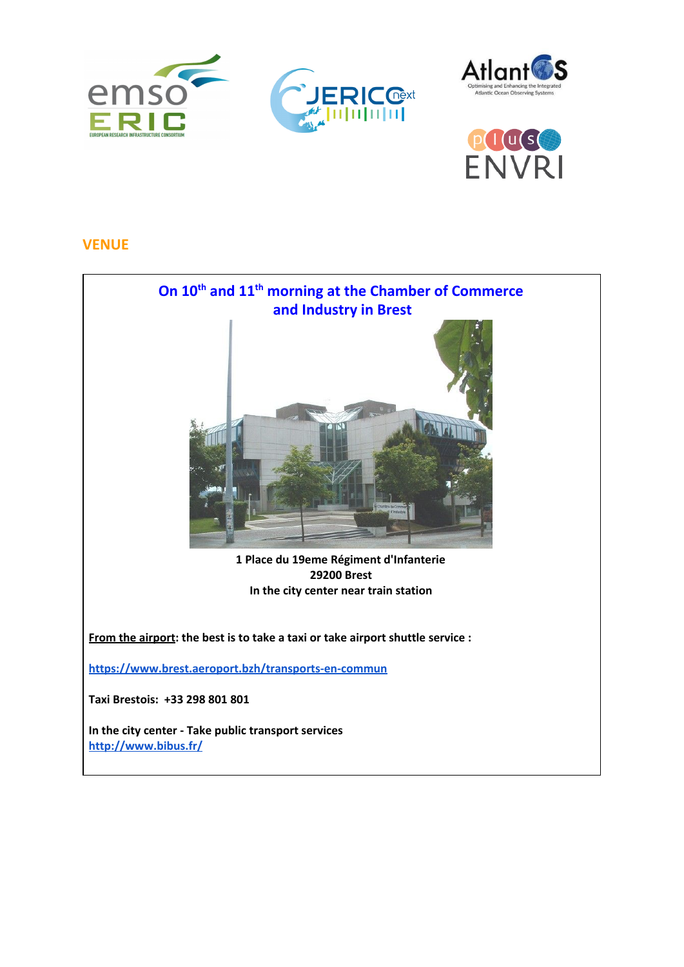





#### **VENUE**

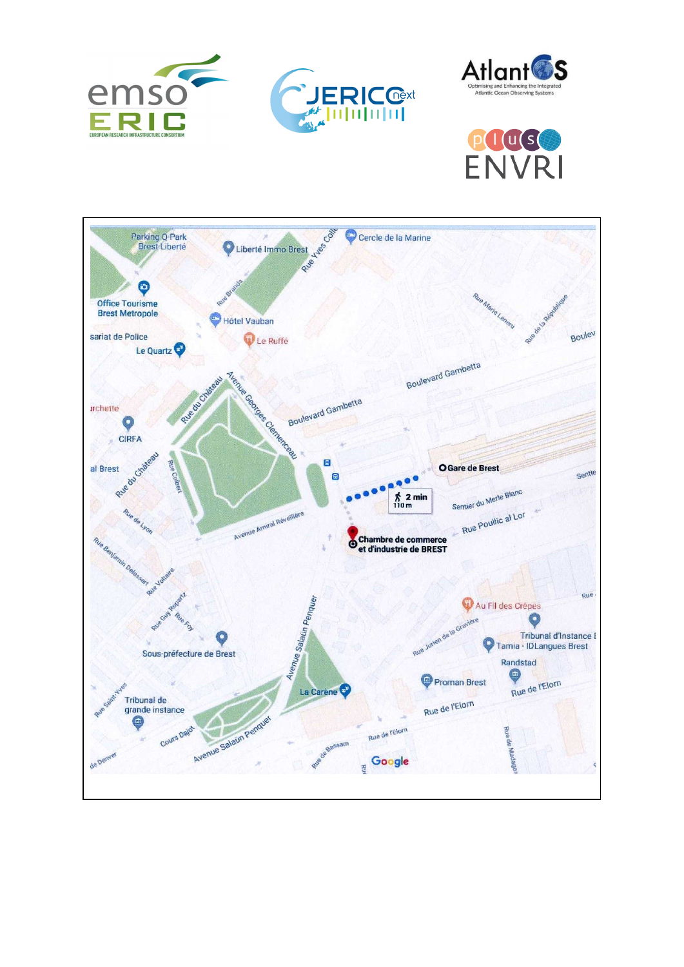





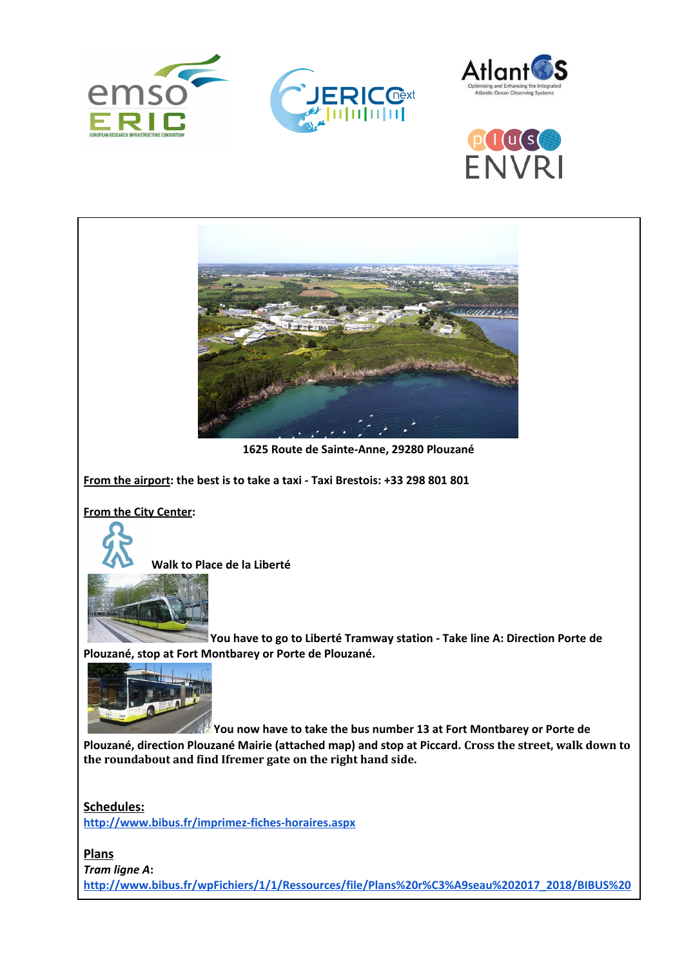







*Tram ligne A***: [http://www.bibus.fr/wpFichiers/1/1/Ressources/file/Plans%20r%C3%A9seau%202017\\_2018/BIBUS%20](http://www.bibus.fr/wpFichiers/1/1/Ressources/file/Plans%20r%C3%A9seau%202017_2018/BIBUS%20TOTEM%20TRAM%202016-VF.pdf)**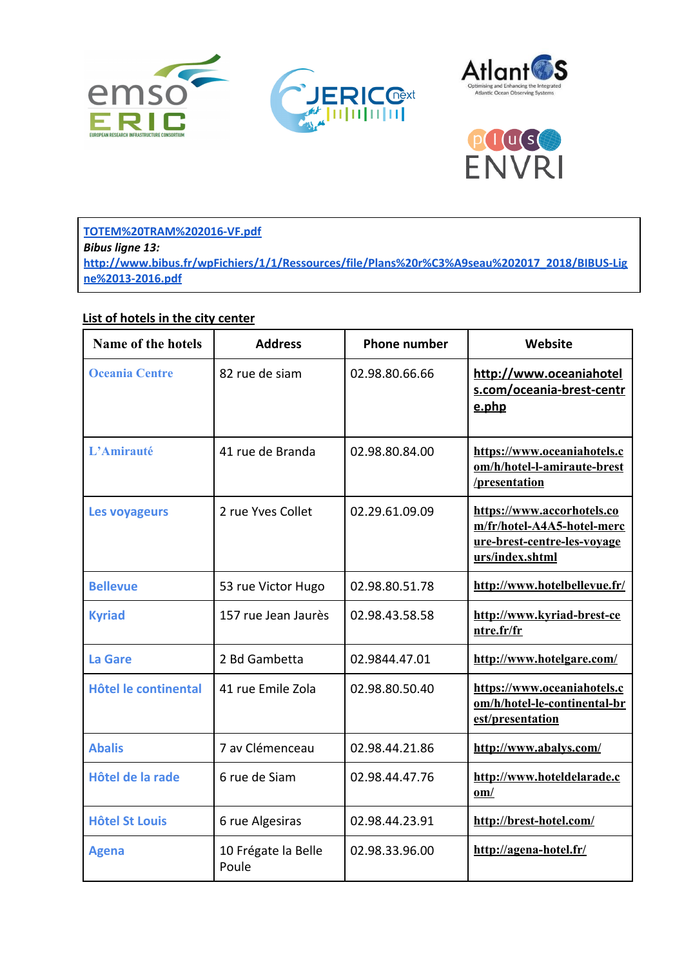



PUUS **ENVRI** 

**[TOTEM%20TRAM%202016-VF.pdf](http://www.bibus.fr/wpFichiers/1/1/Ressources/file/Plans%20r%C3%A9seau%202017_2018/BIBUS%20TOTEM%20TRAM%202016-VF.pdf)** *Bibus ligne 13:* **[http://www.bibus.fr/wpFichiers/1/1/Ressources/file/Plans%20r%C3%A9seau%202017\\_2018/BIBUS-Lig](http://www.bibus.fr/wpFichiers/1/1/Ressources/file/Plans%20r%C3%A9seau%202017_2018/BIBUS-Ligne%2013-2016.pdf) [ne%2013-2016.pdf](http://www.bibus.fr/wpFichiers/1/1/Ressources/file/Plans%20r%C3%A9seau%202017_2018/BIBUS-Ligne%2013-2016.pdf)**

#### **List of hotels in the city center**

| <b>Name of the hotels</b> | <b>Address</b>               | <b>Phone number</b> | Website                                                                                                    |
|---------------------------|------------------------------|---------------------|------------------------------------------------------------------------------------------------------------|
| <b>Oceania Centre</b>     | 82 rue de siam               | 02.98.80.66.66      | http://www.oceaniahotel<br>s.com/oceania-brest-centr<br>e.php                                              |
| L'Amirauté                | 41 rue de Branda             | 02.98.80.84.00      | https://www.oceaniahotels.c<br>om/h/hotel-l-amiraute-brest<br>/presentation                                |
| Les voyageurs             | 2 rue Yves Collet            | 02.29.61.09.09      | https://www.accorhotels.co<br>m/fr/hotel-A4A5-hotel-merc<br>ure-brest-centre-les-voyage<br>urs/index.shtml |
| <b>Bellevue</b>           | 53 rue Victor Hugo           | 02.98.80.51.78      | http://www.hotelbellevue.fr/                                                                               |
| <b>Kyriad</b>             | 157 rue Jean Jaurès          | 02.98.43.58.58      | http://www.kyriad-brest-ce<br>ntre.fr/fr                                                                   |
| <b>La Gare</b>            | 2 Bd Gambetta                | 02.9844.47.01       | http://www.hotelgare.com/                                                                                  |
| Hôtel le continental      | 41 rue Emile Zola            | 02.98.80.50.40      | https://www.oceaniahotels.c<br>om/h/hotel-le-continental-br<br>est/presentation                            |
| <b>Abalis</b>             | 7 av Clémenceau              | 02.98.44.21.86      | http://www.abalys.com/                                                                                     |
| Hôtel de la rade          | 6 rue de Siam                | 02.98.44.47.76      | http://www.hoteldelarade.c<br>$om/$                                                                        |
| <b>Hôtel St Louis</b>     | 6 rue Algesiras              | 02.98.44.23.91      | http://brest-hotel.com/                                                                                    |
| <b>Agena</b>              | 10 Frégate la Belle<br>Poule | 02.98.33.96.00      | http://agena-hotel.fr/                                                                                     |